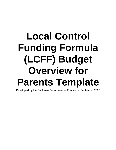# **Local Control Funding Formula (LCFF) Budget Overview for Parents Template**

Developed by the California Department of Education, September 2020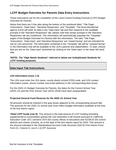## **LCFF Budget Overview for Parents Data Entry Instructions**

These instructions are for the completion of the Local Control Funding Formula (LCFF) Budget Overview for Parents.

Notice that there are 5 five tabs along the bottom of the workbook titled: 'Title Page', 'Instructions', 'Data Input', 'Narrative Responses', and 'Template'. The local educational agency (LEA) will enter its data in the 'Data Input' tab and then respond to the available prompts in the 'Narrative Responses' tab; please note that certain prompts in the 'Narrative Responses' tab are conditional. This information will automatically populate the 'Template' pages of the Budget Overview for Parents with the information. The tabs 'Title Page', 'Instructions', 'Data Input', and 'Narrative Responses' are "inward facing" and are intended for use by LEA personnel. The information contained in the 'Template' tab will be "outward facing", or the information that will be available to the LEA's parents and stakeholders. To start, ensure that you are on the 'Data Input' worksheet by clicking on the 'Data Input' in the lower left hand side.

#### **\*NOTE: The "High Needs Students" referred to below are Unduplicated Students for LCFF funding purposes.**

### **Data Input Tab Instructions**

#### **LEA Information (rows 1-3)**

The LEA must enter the LEA name, county district school (CDS) code, and LEA contact information (name, phone number and email address) in the corresponding blue boxes.

For the 2020–21 Budget Overview for Parents, the dates for the Current School Year (2020–21) and the Prior School Year (2019–2020) have been prepopulated.

#### **Projected General Fund Revenue for the 2020–21 School Year**

All amounts should be entered in the gray boxes adjacent to the corresponding amount title. The amounts for the 2020–21 school year must reflect budget information available at the time of the first interim report.

**• Total LCFF funds (row 9):** This amount is the total amount of LCFF funding (including supplemental & concentration grants) the LEA estimates it will receive pursuant to California *Education Code* (*EC* ) sections 2574 (for county offices of education) and 42238.02 (for school districts and charter schools), as of the date of the first interim report for 2020. This amount is the amount indicated in the Standardized Account Code Structure (SACS) First Interim Fund Form 01, Column D, row A.1 (LCFF Sources).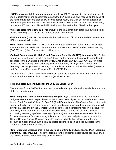•**LCFF supplemental & concentration grants (row 10):** This amount is the total amount of LCFF supplemental and concentration grants the LEA estimates it will receive on the basis of the number and concentration of low income, foster youth, and English learner students as determined pursuant to *California Code of Regulations* , Title 5 (5 *CCR* ) Section 15496(a)(5), pursuant to *EC* sections 2574 and 42238.02, as applicable for the 2020–21 school year.

•**All other state funds (row 12):** This amount is the total amount of other state funds (do not include including LCFF funds) the LEA estimates it will receive.

**• All local funds (row 13):** This amount is the total amount of local funds and entitlements the LEA estimates it will receive.

•**Total federal funds (row 14):** This amount is the total amount of federal funds (including all Every Student Succeeds Act Title funds and Coronavirus Aid, Relief, and Economic Security [CARES] funds) the LEA estimates it will receive.

**•Eederal Coronavirus Aid, Relief, and Economic Security (CARES) funds (row 16):** Of the amount of federal funds reported on line 14, provide the amount attributable to federal funds allocated to the LEA under the federal CARES Act (Public Law 116-136). CARES Act funds include the Elementary and Secondary School Emergency Relief (ESSER) Funds and Learning Loss Mitigation (LLM) Funds; LLM Funds include both Coronavirus Relief (CR) Funds and Governor's Emergency Education Relief (GEER) Funds.

The total of the General Fund Revenue should equal the amount indicated in the SACS First Interim Fund Form 01, Column D, row A.5 (Total Revenues).

#### **Total Budgeted Expenditures for the 2020–21 School Year**

The amounts for the 2020–21 school year must reflect budget information available at the time of the first interim report.

**•Total Budgeted General Fund Expenditures (row 19):** This amount is the LEA's total budgeted General Fund expenditures for the 2020–21 school year as indicated on SACS First Interim Fund Form 01, Column D, Row B.9 (Total Expenditures). The General Fund is the main operating fund of the LEA and accounts for all activities not accounted for in another fund. All activities are reported in the General Fund unless there is a compelling reason to account for an activity in another fund. For further information please refer to the California School Accounting Manual (http://www.cde.ca.gov/fg/ac/sa/). (Note: For some charter schools that follow governmental fund accounting, this amount is the total budgeted expenditures in the Charter Schools Special Revenue Fund. For charter schools that follow the not-for-profit accounting model, this amount is total budgeted expenses, such as those budgeted in the Charter Schools Enterprise Fund.)

**• Total Budgeted Expenditures in the Learning Continuity and Attendance Plan (Learning Continuity Plan) (row 20):** This is the total amount of budgeted expenditures associated with the actions included in the Learning Continuity Plan.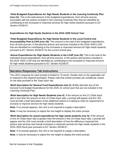#### **• Total Budgeted Expenditures for High Needs Students in the Learning Continuity Plan**

**(row 21):** This is the total amount of the budgeted expenditures, from all fund sources, associated with the actions included in the Learning Continuity Plan that are identified as contributing to the increased or improved services for high needs students pursuant to *EC*  Section 42238.07.

#### **Expenditures for High Needs Students in the 2019–2020 School Year**

**• Total Budgeted Expenditures for High Needs Students in the Local Control and Accountability Plan (LCAP) (row 24):** This amount is the total of the budgeted expenditures, from all fund sources, in the planned actions and services included in the 2019–2020 LCAP that are identified as contributing to the increased or improved services for high needs students pursuant to *EC* Section 42238.07 for the current school year.

**•Actual Expenditures for High Needs Students in the LCAP (row 25):** This is the total of the estimated actual expenditures, from all fund sources, in the actions and services included in the 2019–2020 LCAP that are identified as contributing to the increased or improved services for high needs students pursuant to *EC* Section 42238.07.

## **Narrative Responses Tab Instructions**

The LEA's response for each prompt is limited to 75 words. Double click on the applicable cell to respond to the required prompt(s). Please note that certain prompts are conditional, based on the data provided in the 'Data Input' tab.

**•Brief description for General Fund Expenditures (row 3): Briefly describe any of the** General Fund Budget Expenditures for the 2020–21 school year that are not included in the Learning Continuity Plan.

**•Brief description for High Needs Students (row 4):** If the amount on line 21 ('Data Input' tab) is less than the amount on line 10 ('Data Input' tab), a prompt will appear and the LEA must provide a brief description of the additional actions it is taking to meet its requirement to increase or improve services for high needs students.

**Note:** If no prompt appears, the LEA is not required to supply a description.

**Note:** It may be necessary to adjust the row height to display the entire prompt.

**• Brief description for actual expenditures for high needs students (row 5):** If the amount in line 24 ('Data Input' tab) is greater than the amount in line 25 ('Data Input' tab), a prompt will appear and the LEA must provide a brief description of how the difference impacted the actions and services and overall increased or improved services for high needs students in the 2019–2020 fiscal year pursuant to *EC* Section 42238.07.

**Note:** If no prompt appears, the LEA is not required to supply a description.

**Note:** It may be necessary to adjust the row height to display the entire prompt.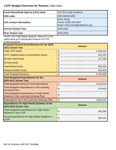## **LCFF Budget Overview for Parents:** Data Input

| <b>Local Educational Agency (LEA) name:</b>                                                                                 | Yav Pem Suab Academy                                                    |
|-----------------------------------------------------------------------------------------------------------------------------|-------------------------------------------------------------------------|
| <b>CDS</b> code:                                                                                                            | 34674390121665                                                          |
| LEA contact information:                                                                                                    | Vince Xiong<br>Phone: (916) 433-5057<br>Email: Vince-Xiong@urbancsc.org |
| <b>Current School Year:</b>                                                                                                 | 2020-2021                                                               |
| <b>Prior School Year</b>                                                                                                    | 2019-2020                                                               |
| *NOTE: The "High Needs Students" referred to in the<br>tables below are Unduplicated Students for LCFF<br>funding purposes. |                                                                         |
| Projected General Fund Revenue for the 2020-<br>2021 School Year                                                            | <b>Amount</b>                                                           |
| <b>Total LCFF funds</b>                                                                                                     | $\boldsymbol{\theta}$<br>4,436,101                                      |
| <b>LCFF supplemental &amp; concentration grants</b>                                                                         | $\boldsymbol{\theta}$<br>641,351                                        |
| All other state funds                                                                                                       | $\boldsymbol{\theta}$<br>137,383                                        |
| <b>All local funds</b>                                                                                                      | $\boldsymbol{\mathsf{S}}$                                               |
| <b>Total federal funds</b>                                                                                                  | \$<br>556,544                                                           |
| <b>Federal CARES funds</b>                                                                                                  | 431,929<br>\$                                                           |
| <b>Total Projected Revenue</b>                                                                                              | $\boldsymbol{\theta}$<br>5,130,028                                      |
| <b>Total Budgeted Expenditures for the</b><br>2020-2021 School Year                                                         | <b>Amount</b>                                                           |
| <b>Total Budgeted General Fund Expenditures</b>                                                                             | $\boldsymbol{\mathsf{S}}$<br>4,910,844                                  |
| <b>Total Budgeted Expenditures in the Learning</b><br><b>Continuity Plan</b>                                                | \$<br>376,403                                                           |
| <b>Total Budgeted Expenditures for High Needs</b><br><b>Students in the Learning Continuity Plan</b>                        | ¢<br>$\mathbf{\Phi}$                                                    |
| Expenditures not in the Learning Continuity Plan                                                                            | $\mathfrak{S}$<br>4,534,441                                             |
| <b>Expenditures for High Needs Students in the</b><br><b>Amount</b><br>2019-2020 School Year                                |                                                                         |
| <b>Total Budgeted Expenditures for High Needs</b><br><b>Students in the LCAP</b>                                            | \$<br>353,262                                                           |
| Actual Expenditures for High Needs Students in<br><b>LCAP</b>                                                               | \$<br>350,447                                                           |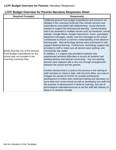| <b>Required Prompt(s)</b>                                                                                                               | <b>Response(s)</b>                                                                                                                                                                                                                                                                                                                                                                                                                                                                                                                                                                                                                                                                                                                                                                                                                                                                                                                                                                                                                                                                                                                                                                                                                                                                                                                                                                                                                                                                                                                                                         |
|-----------------------------------------------------------------------------------------------------------------------------------------|----------------------------------------------------------------------------------------------------------------------------------------------------------------------------------------------------------------------------------------------------------------------------------------------------------------------------------------------------------------------------------------------------------------------------------------------------------------------------------------------------------------------------------------------------------------------------------------------------------------------------------------------------------------------------------------------------------------------------------------------------------------------------------------------------------------------------------------------------------------------------------------------------------------------------------------------------------------------------------------------------------------------------------------------------------------------------------------------------------------------------------------------------------------------------------------------------------------------------------------------------------------------------------------------------------------------------------------------------------------------------------------------------------------------------------------------------------------------------------------------------------------------------------------------------------------------------|
| Briefly describe any of the General<br>Fund Budget Expenditures for the<br>school year not included in the<br>Learning Continuity Plan. | Additional general fund budget expenditures and resource not<br>detailed in the Learning Continuity Plan include services and<br>expenditures associated with implementing crucial elements<br>needed to support the teaching and learning. Communication<br>had to be streamed in multiple venues such as Facebook, school<br>website, Google Meets, Google Classrooms, Zoom, automated<br>telephone messages, emails, and text messages to the school<br>constituents to ensure a common understanding of the distance<br>learning plan. New technology devices were purchased to fully<br>support distance learning. Furthermore, technology support was<br>provided to staff to make sure all devices were working, and<br>connectivity was stable.<br>In addition, 1-1 support was provided to parents who<br>experienced technical difficulties to ensure all students had<br>working devices and internet connectivity. Any non-working<br>devices were replaced with a new one through arrangements<br>between the school and the parents.<br>Another element that is crucial to this process is the training of<br>staff members to check in daily, with the front office, as a way to<br>mitigate the spread of COVID-19, provide professional<br>development to further their continued training and education on<br>up-to-date and current trends as well as developing new skills for<br>the purpose of advancement in distance learning, and use of<br>technological materials/resources to aid the staff with delivery of<br>lessons to students virtually. |

## **LCFF Budget Overview for Parents Narrative Responses Sheet**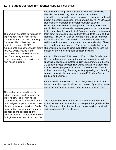| The amount budgeted to increase or<br>improve services for high needs<br>students in the 2020-2021 Learning<br>Continuity Plan is less than the<br>projected revenue of LCFF<br>supplemental and concentration grants<br>for 2020-2021. Provide a brief<br>description of the additional actions<br>the LEA is taking to meet its<br>requirement to improve services for<br>high needs students.        | Expenditures for High Needs Students were not specifically<br>identified in the Learning Continuity Plan since these<br>expenditures are included in services covered in the general fund<br>budget expenditures as seen in the narrative above. At YPSA all<br>students are considered as general education students.<br>However, when it comes to unduplicated students, their needs<br>are blocked by invisible walls that often go unnoticed or unaware<br>by the educational system that YPSA must contribute to breaking<br>them down to provide a clear pathway for students to get to their<br>learning. This wall for English learners is the English language;<br>for foster youth, it is social emotional and home environment<br>stability; and for low-income students, it is the availability of basic<br>needs and learning resources. These are the walls that these<br>students must be able to climb over before they can access their<br>education offered by the public education system.<br>As such, this is what YPSA does. YPSA provides foundational<br>literacy and numeracy support through two instructional aides,<br>specifically designated, just for English Learners who are Levels<br>1-2 to have access to vocabulary words that will help them with<br>their English language development. These basic skills will add<br>to their understanding of reading, writing, speaking, and listening<br>comprehension in the four subject areas (ELA, Math, Social<br>Studies, and Science).<br>For the low-income students, YPSA designates two additional<br>instructional aides specifically for the purpose of providing one-to- |
|---------------------------------------------------------------------------------------------------------------------------------------------------------------------------------------------------------------------------------------------------------------------------------------------------------------------------------------------------------------------------------------------------------|------------------------------------------------------------------------------------------------------------------------------------------------------------------------------------------------------------------------------------------------------------------------------------------------------------------------------------------------------------------------------------------------------------------------------------------------------------------------------------------------------------------------------------------------------------------------------------------------------------------------------------------------------------------------------------------------------------------------------------------------------------------------------------------------------------------------------------------------------------------------------------------------------------------------------------------------------------------------------------------------------------------------------------------------------------------------------------------------------------------------------------------------------------------------------------------------------------------------------------------------------------------------------------------------------------------------------------------------------------------------------------------------------------------------------------------------------------------------------------------------------------------------------------------------------------------------------------------------------------------------------------------------------------------|
|                                                                                                                                                                                                                                                                                                                                                                                                         | one basic foundational support to help them overcome basic                                                                                                                                                                                                                                                                                                                                                                                                                                                                                                                                                                                                                                                                                                                                                                                                                                                                                                                                                                                                                                                                                                                                                                                                                                                                                                                                                                                                                                                                                                                                                                                                       |
| The total actual expenditures for<br>actions and services to increase or<br>improve services for high needs<br>students in 2019-2020 is less than the<br>total budgeted expenditures for those<br>planned actions and services. Briefly<br>describe how this difference impacted<br>the actions and services and the<br>overall increased or improved services<br>for high needs students in 2019-2020. | The difference between the 2019-2020 budgeted amount and<br>total expensed amount was due to changes in budgeted salaries.<br>This difference did not impact the actions or services provided<br>and was implemented as planned.                                                                                                                                                                                                                                                                                                                                                                                                                                                                                                                                                                                                                                                                                                                                                                                                                                                                                                                                                                                                                                                                                                                                                                                                                                                                                                                                                                                                                                 |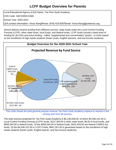# **LCFF Budget Overview for Parents**

Local Educational Agency (LEA) Name: Yav Pem Suab Academy CDS Code: 34674390121665 School Year: 2020-2021 LEA contact information: Vince XiongBhone: (916) 433-5057Email: Vince-Xiong@urbancsc.org

School districts receive funding from different sources: state funds under the Local Control Funding Formula (LCFF), other state funds, local funds, and federal funds. LCFF funds include a base level of funding for all LEAs and extra funding - called "supplemental and concentration" grants - to LEAs based on the enrollment of high needs students (foster youth, English learners, and low-income students).



This chart shows the total general purpose revenue Yav Pem Suab Academy expects to receive in the coming year from all sources.

The total revenue projected for Yav Pem Suab Academy is \$5,130,028.00, of which \$4,436,101.00 is Local Control Funding Formula (LCFF) funds, \$137,383.00 is other state funds, \$0.00 is local funds, and \$556,544.00 is federal funds. Of the \$556,544.00 in federal funds, \$431,929.00 are federal CARES Act funds. Of the \$4,436,101.00 in LCFF Funds, \$641,351.00 is generated based on the enrollment of high needs students (foster youth, English learner, and low-income students).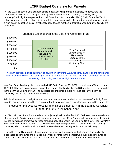# **LCFF Budget Overview for Parents**

For the 2020-21 school year school districts must work with parents, educators, students, and the community to develop a Learning Continuity and Attendance Plan (Learning Continuity Plan). The Learning Continuity Plan replaces the Local Control and Accountability Plan (LCAP) for the 2020–21 school year and provides school districts with the opportunity to desribe how they are planning to provide a high-quality education, social-emotional supports, and nutrition to their students during the COVID-19 pandemic.

| <b>Budgeted Expenditures in the Learning Continuity Plan</b> |  |                                        |                                      |
|--------------------------------------------------------------|--|----------------------------------------|--------------------------------------|
| \$400,000                                                    |  |                                        |                                      |
| \$350,000                                                    |  |                                        |                                      |
| \$300,000                                                    |  |                                        |                                      |
| \$250,000                                                    |  | <b>Total Budgeted</b>                  | <b>Total Budgeted</b>                |
| \$200,000                                                    |  | <b>Expenditures in</b><br>the Learning | <b>Expenditures for</b>              |
| \$150,000                                                    |  | <b>Continuity Plan</b>                 | <b>High Needs</b><br>Students in the |
| \$100,000                                                    |  | \$376,403                              | Learning                             |
| \$50,000                                                     |  |                                        | Continuity Plan,                     |
| \$0                                                          |  |                                        | \$-                                  |

This chart provides a quick summary of how much Yav Pem Suab Academy plans to spend for planned actions and services in the Learning Continuity Plan for 2020-2021and how much of the total is tied to increasing or improving services for high needs students.

Yav Pem Suab Academy plans to spend \$4,910,844.15 for the 2020-2021 school year. Of that amount, \$376,403.00 is tied to actions/services in the Learning Continuity Plan and \$4,534,441.15 is not included in the Learning Continuity Plan. The budgeted expenditures that are not included in the Learning Continuity Plan will be used for the following:

Additional general fund budget expenditures and resource not detailed in the Learning Continuity Plan include services and expenditures associated with implementing crucial elements needed to support the

 Increased or Improved Services for High Needs Students in in the Learning Continuity Plan for the 2020-2021 School Year

In 2020-2021, Yav Pem Suab Academy is projecting it will receive \$641,351.00 based on the enrollment of foster youth, English learner, and low-income students. Yav Pem Suab Academy must describe how it intends to increase or improve services for high needs students in the Learning Continuity Plan. Yav Pem Suab Academy plans to spend \$0.00 towards meeting this requirement, as described in the Learning Continuity Plan. The additional improved services described in the plan include the following:

Expenditures for High Needs Students were not specifically identified in the Learning Continuity Plan since these expenditures are included in services covered in the general fund budget expenditures as seen in the narrative above At YPSA all students are considered as general education students